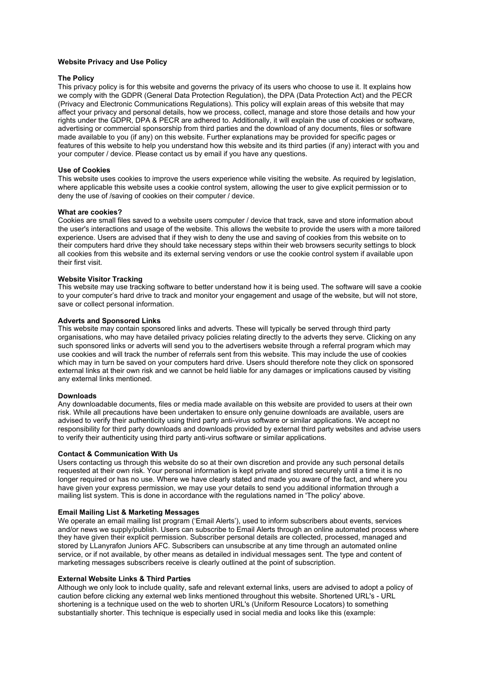# **Website Privacy and Use Policy**

# **The Policy**

This privacy policy is for this website and governs the privacy of its users who choose to use it. It explains how we comply with the GDPR (General Data Protection Regulation), the DPA (Data Protection Act) and the PECR (Privacy and Electronic Communications Regulations). This policy will explain areas of this website that may affect your privacy and personal details, how we process, collect, manage and store those details and how your rights under the GDPR, DPA & PECR are adhered to. Additionally, it will explain the use of cookies or software, advertising or commercial sponsorship from third parties and the download of any documents, files or software made available to you (if any) on this website. Further explanations may be provided for specific pages or features of this website to help you understand how this website and its third parties (if any) interact with you and your computer / device. Please contact us by email if you have any questions.

## **Use of Cookies**

This website uses cookies to improve the users experience while visiting the website. As required by legislation, where applicable this website uses a cookie control system, allowing the user to give explicit permission or to deny the use of /saving of cookies on their computer / device.

### **What are cookies?**

Cookies are small files saved to a website users computer / device that track, save and store information about the user's interactions and usage of the website. This allows the website to provide the users with a more tailored experience. Users are advised that if they wish to deny the use and saving of cookies from this website on to their computers hard drive they should take necessary steps within their web browsers security settings to block all cookies from this website and its external serving vendors or use the cookie control system if available upon their first visit.

# **Website Visitor Tracking**

This website may use tracking software to better understand how it is being used. The software will save a cookie to your computer's hard drive to track and monitor your engagement and usage of the website, but will not store, save or collect personal information.

### **Adverts and Sponsored Links**

This website may contain sponsored links and adverts. These will typically be served through third party organisations, who may have detailed privacy policies relating directly to the adverts they serve. Clicking on any such sponsored links or adverts will send you to the advertisers website through a referral program which may use cookies and will track the number of referrals sent from this website. This may include the use of cookies which may in turn be saved on your computers hard drive. Users should therefore note they click on sponsored external links at their own risk and we cannot be held liable for any damages or implications caused by visiting any external links mentioned.

#### **Downloads**

Any downloadable documents, files or media made available on this website are provided to users at their own risk. While all precautions have been undertaken to ensure only genuine downloads are available, users are advised to verify their authenticity using third party anti-virus software or similar applications. We accept no responsibility for third party downloads and downloads provided by external third party websites and advise users to verify their authenticity using third party anti-virus software or similar applications.

#### **Contact & Communication With Us**

Users contacting us through this website do so at their own discretion and provide any such personal details requested at their own risk. Your personal information is kept private and stored securely until a time it is no longer required or has no use. Where we have clearly stated and made you aware of the fact, and where you have given your express permission, we may use your details to send you additional information through a mailing list system. This is done in accordance with the regulations named in 'The policy' above.

## **Email Mailing List & Marketing Messages**

We operate an email mailing list program ('Email Alerts'), used to inform subscribers about events, services and/or news we supply/publish. Users can subscribe to Email Alerts through an online automated process where they have given their explicit permission. Subscriber personal details are collected, processed, managed and stored by LLanyrafon Juniors AFC. Subscribers can unsubscribe at any time through an automated online service, or if not available, by other means as detailed in individual messages sent. The type and content of marketing messages subscribers receive is clearly outlined at the point of subscription.

## **External Website Links & Third Parties**

Although we only look to include quality, safe and relevant external links, users are advised to adopt a policy of caution before clicking any external web links mentioned throughout this website. Shortened URL's - URL shortening is a technique used on the web to shorten URL's (Uniform Resource Locators) to something substantially shorter. This technique is especially used in social media and looks like this (example: